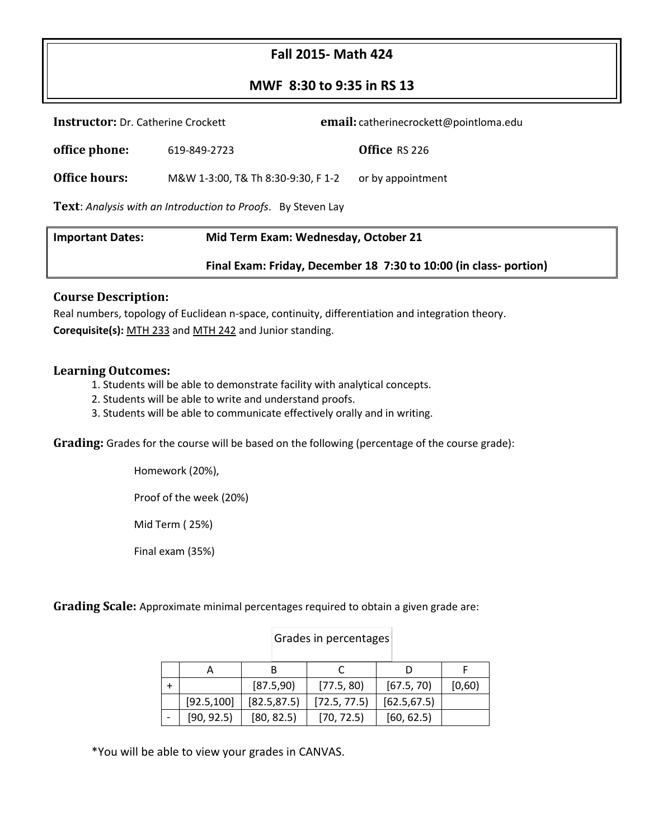# **Fall 2015- Math 424**

### **MWF 8:30 to 9:35 in RS 13**

| Mid Term Exam: Wednesday. October 21<br><b>Important Dates:</b>     |                                    |                                        |  |  |  |  |
|---------------------------------------------------------------------|------------------------------------|----------------------------------------|--|--|--|--|
| <b>Text:</b> Analysis with an Introduction to Proofs. By Steven Lay |                                    |                                        |  |  |  |  |
| <b>Office hours:</b>                                                | M&W 1-3:00, T& Th 8:30-9:30, F 1-2 | or by appointment                      |  |  |  |  |
| office phone:                                                       | 619-849-2723                       | Office RS 226                          |  |  |  |  |
| <b>Instructor:</b> Dr. Catherine Crockett                           |                                    | email: catherinecrockett@pointloma.edu |  |  |  |  |

| <b>Important Dates:</b> | Mid Term Exam: Wednesday, October 21                              |  |  |
|-------------------------|-------------------------------------------------------------------|--|--|
|                         | Final Exam: Friday, December 18 7:30 to 10:00 (in class- portion) |  |  |

#### **Course Description:**

Real numbers, topology of Euclidean n-space, continuity, differentiation and integration theory. **Corequisite(s):** [MTH 233](http://catalog.pointloma.edu/content.php?filter%5B27%5D=MTH&filter%5B29%5D=424&filter%5Bcourse_type%5D=-1&filter%5Bkeyword%5D=&filter%5B32%5D=1&filter%5Bcpage%5D=1&cur_cat_oid=18&expand=&navoid=1287&search_database=Filter#tt7611) and [MTH 242](http://catalog.pointloma.edu/content.php?filter%5B27%5D=MTH&filter%5B29%5D=424&filter%5Bcourse_type%5D=-1&filter%5Bkeyword%5D=&filter%5B32%5D=1&filter%5Bcpage%5D=1&cur_cat_oid=18&expand=&navoid=1287&search_database=Filter#tt1327) and Junior standing.

#### **Learning Outcomes:**

- 1. Students will be able to demonstrate facility with analytical concepts.
- 2. Students will be able to write and understand proofs.
- 3. Students will be able to communicate effectively orally and in writing.

**Grading:** Grades for the course will be based on the following (percentage of the course grade):

Homework (20%),

Proof of the week (20%)

Mid Term ( 25%)

Final exam (35%)

**Grading Scale:** Approximate minimal percentages required to obtain a given grade are:

|             | [87.5,90]    | [77.5, 80]   | [67.5, 70]   | [0,60) |
|-------------|--------------|--------------|--------------|--------|
| [92.5, 100] | [82.5, 87.5] | [72.5, 77.5] | [62.5, 67.5] |        |
| [90, 92.5]  | [80, 82.5]   | [70, 72.5]   | [60, 62.5]   |        |

Grades in percentages

\*You will be able to view your grades in CANVAS.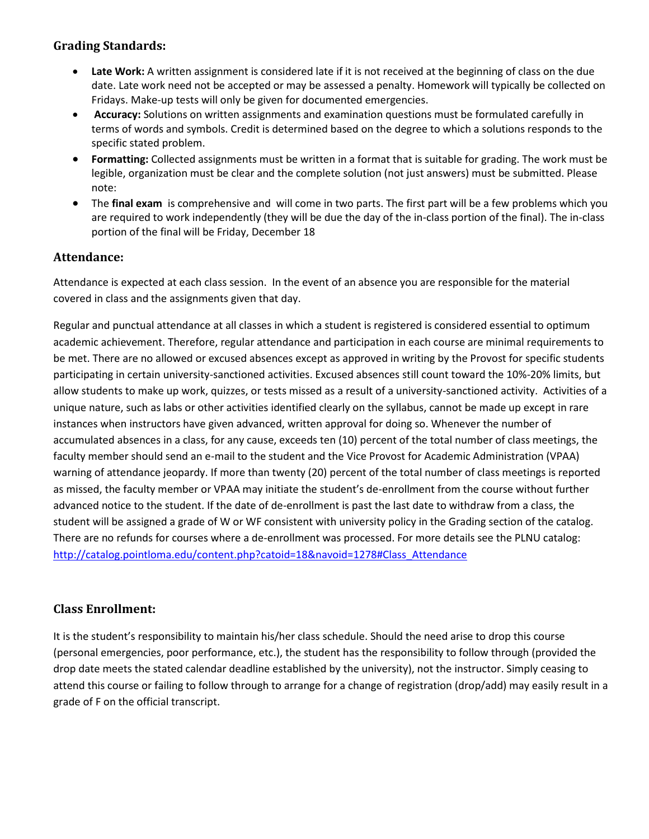## **Grading Standards:**

- **Late Work:** A written assignment is considered late if it is not received at the beginning of class on the due date. Late work need not be accepted or may be assessed a penalty. Homework will typically be collected on Fridays. Make-up tests will only be given for documented emergencies.
- **Accuracy:** Solutions on written assignments and examination questions must be formulated carefully in terms of words and symbols. Credit is determined based on the degree to which a solutions responds to the specific stated problem.
- **Formatting:** Collected assignments must be written in a format that is suitable for grading. The work must be legible, organization must be clear and the complete solution (not just answers) must be submitted. Please note:
- The **final exam** is comprehensive and will come in two parts. The first part will be a few problems which you are required to work independently (they will be due the day of the in-class portion of the final). The in-class portion of the final will be Friday, December 18

## **Attendance:**

Attendance is expected at each class session. In the event of an absence you are responsible for the material covered in class and the assignments given that day.

Regular and punctual attendance at all classes in which a student is registered is considered essential to optimum academic achievement. Therefore, regular attendance and participation in each course are minimal requirements to be met. There are no allowed or excused absences except as approved in writing by the Provost for specific students participating in certain university-sanctioned activities. Excused absences still count toward the 10%-20% limits, but allow students to make up work, quizzes, or tests missed as a result of a university-sanctioned activity. Activities of a unique nature, such as labs or other activities identified clearly on the syllabus, cannot be made up except in rare instances when instructors have given advanced, written approval for doing so. Whenever the number of accumulated absences in a class, for any cause, exceeds ten (10) percent of the total number of class meetings, the faculty member should send an e-mail to the student and the Vice Provost for Academic Administration (VPAA) warning of attendance jeopardy. If more than twenty (20) percent of the total number of class meetings is reported as missed, the faculty member or VPAA may initiate the student's de-enrollment from the course without further advanced notice to the student. If the date of de-enrollment is past the last date to withdraw from a class, the student will be assigned a grade of W or WF consistent with university policy in the Grading section of the catalog. There are no refunds for courses where a de-enrollment was processed. For more details see the PLNU catalog: [http://catalog.pointloma.edu/content.php?catoid=18&navoid=1278#Class\\_Attendance](http://catalog.pointloma.edu/content.php?catoid=18&navoid=1278#Class_Attendance)

## **Class Enrollment:**

It is the student's responsibility to maintain his/her class schedule. Should the need arise to drop this course (personal emergencies, poor performance, etc.), the student has the responsibility to follow through (provided the drop date meets the stated calendar deadline established by the university), not the instructor. Simply ceasing to attend this course or failing to follow through to arrange for a change of registration (drop/add) may easily result in a grade of F on the official transcript.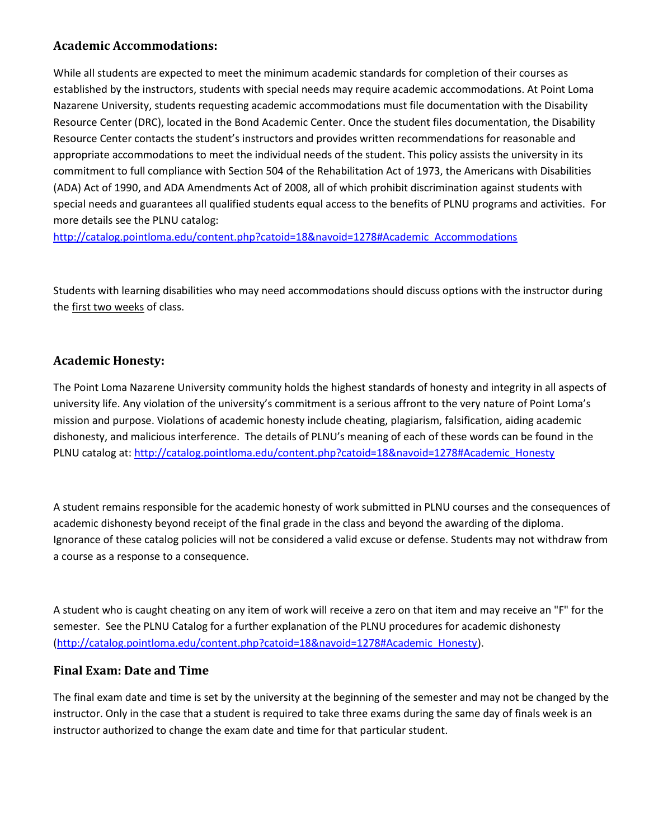### **Academic Accommodations:**

While all students are expected to meet the minimum academic standards for completion of their courses as established by the instructors, students with special needs may require academic accommodations. At Point Loma Nazarene University, students requesting academic accommodations must file documentation with the Disability Resource Center (DRC), located in the Bond Academic Center. Once the student files documentation, the Disability Resource Center contacts the student's instructors and provides written recommendations for reasonable and appropriate accommodations to meet the individual needs of the student. This policy assists the university in its commitment to full compliance with Section 504 of the Rehabilitation Act of 1973, the Americans with Disabilities (ADA) Act of 1990, and ADA Amendments Act of 2008, all of which prohibit discrimination against students with special needs and guarantees all qualified students equal access to the benefits of PLNU programs and activities. For more details see the PLNU catalog:

[http://catalog.pointloma.edu/content.php?catoid=18&navoid=1278#Academic\\_Accommodations](http://catalog.pointloma.edu/content.php?catoid=18&navoid=1278#Academic_Accommodations) 

Students with learning disabilities who may need accommodations should discuss options with the instructor during the first two weeks of class.

## **Academic Honesty:**

The Point Loma Nazarene University community holds the highest standards of honesty and integrity in all aspects of university life. Any violation of the university's commitment is a serious affront to the very nature of Point Loma's mission and purpose. Violations of academic honesty include cheating, plagiarism, falsification, aiding academic dishonesty, and malicious interference. The details of PLNU's meaning of each of these words can be found in the PLNU catalog at[: http://catalog.pointloma.edu/content.php?catoid=18&navoid=1278#Academic\\_Honesty](http://catalog.pointloma.edu/content.php?catoid=18&navoid=1278#Academic_Honesty)

A student remains responsible for the academic honesty of work submitted in PLNU courses and the consequences of academic dishonesty beyond receipt of the final grade in the class and beyond the awarding of the diploma. Ignorance of these catalog policies will not be considered a valid excuse or defense. Students may not withdraw from a course as a response to a consequence.

A student who is caught cheating on any item of work will receive a zero on that item and may receive an "F" for the semester. See the PLNU Catalog for a further explanation of the PLNU procedures for academic dishonesty [\(http://catalog.pointloma.edu/content.php?catoid=18&navoid=1278#Academic\\_Honesty\)](http://catalog.pointloma.edu/content.php?catoid=18&navoid=1278#Academic_Honesty).

### **Final Exam: Date and Time**

The final exam date and time is set by the university at the beginning of the semester and may not be changed by the instructor. Only in the case that a student is required to take three exams during the same day of finals week is an instructor authorized to change the exam date and time for that particular student.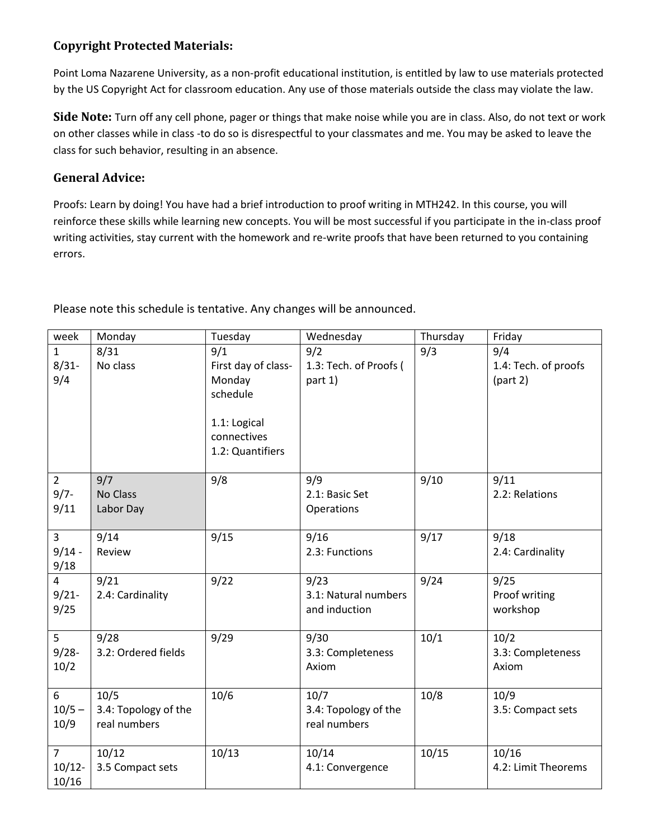# **Copyright Protected Materials:**

Point Loma Nazarene University, as a non-profit educational institution, is entitled by law to use materials protected by the US Copyright Act for classroom education. Any use of those materials outside the class may violate the law.

**Side Note:** Turn off any cell phone, pager or things that make noise while you are in class. Also, do not text or work on other classes while in class -to do so is disrespectful to your classmates and me. You may be asked to leave the class for such behavior, resulting in an absence.

## **General Advice:**

Proofs: Learn by doing! You have had a brief introduction to proof writing in MTH242. In this course, you will reinforce these skills while learning new concepts. You will be most successful if you participate in the in-class proof writing activities, stay current with the homework and re-write proofs that have been returned to you containing errors.

Please note this schedule is tentative. Any changes will be announced.

| week                                 | Monday                                       | Tuesday                                                                                             | Wednesday                                     | Thursday | Friday                                  |
|--------------------------------------|----------------------------------------------|-----------------------------------------------------------------------------------------------------|-----------------------------------------------|----------|-----------------------------------------|
| $\mathbf{1}$<br>$8/31-$<br>9/4       | 8/31<br>No class                             | 9/1<br>First day of class-<br>Monday<br>schedule<br>1.1: Logical<br>connectives<br>1.2: Quantifiers | 9/2<br>1.3: Tech. of Proofs (<br>part 1)      | 9/3      | 9/4<br>1.4: Tech. of proofs<br>(part 2) |
| $\overline{2}$<br>$9/7 -$<br>9/11    | 9/7<br>No Class<br>Labor Day                 | 9/8                                                                                                 | 9/9<br>2.1: Basic Set<br>Operations           | 9/10     | 9/11<br>2.2: Relations                  |
| $\overline{3}$<br>$9/14 -$<br>9/18   | 9/14<br>Review                               | 9/15                                                                                                | 9/16<br>2.3: Functions                        | 9/17     | 9/18<br>2.4: Cardinality                |
| $\overline{4}$<br>$9/21 -$<br>9/25   | 9/21<br>2.4: Cardinality                     | 9/22                                                                                                | 9/23<br>3.1: Natural numbers<br>and induction | 9/24     | 9/25<br>Proof writing<br>workshop       |
| 5<br>$9/28 -$<br>10/2                | 9/28<br>3.2: Ordered fields                  | 9/29                                                                                                | 9/30<br>3.3: Completeness<br>Axiom            | 10/1     | 10/2<br>3.3: Completeness<br>Axiom      |
| 6<br>$10/5 -$<br>10/9                | 10/5<br>3.4: Topology of the<br>real numbers | 10/6                                                                                                | 10/7<br>3.4: Topology of the<br>real numbers  | 10/8     | 10/9<br>3.5: Compact sets               |
| $\overline{7}$<br>$10/12 -$<br>10/16 | 10/12<br>3.5 Compact sets                    | 10/13                                                                                               | 10/14<br>4.1: Convergence                     | 10/15    | 10/16<br>4.2: Limit Theorems            |